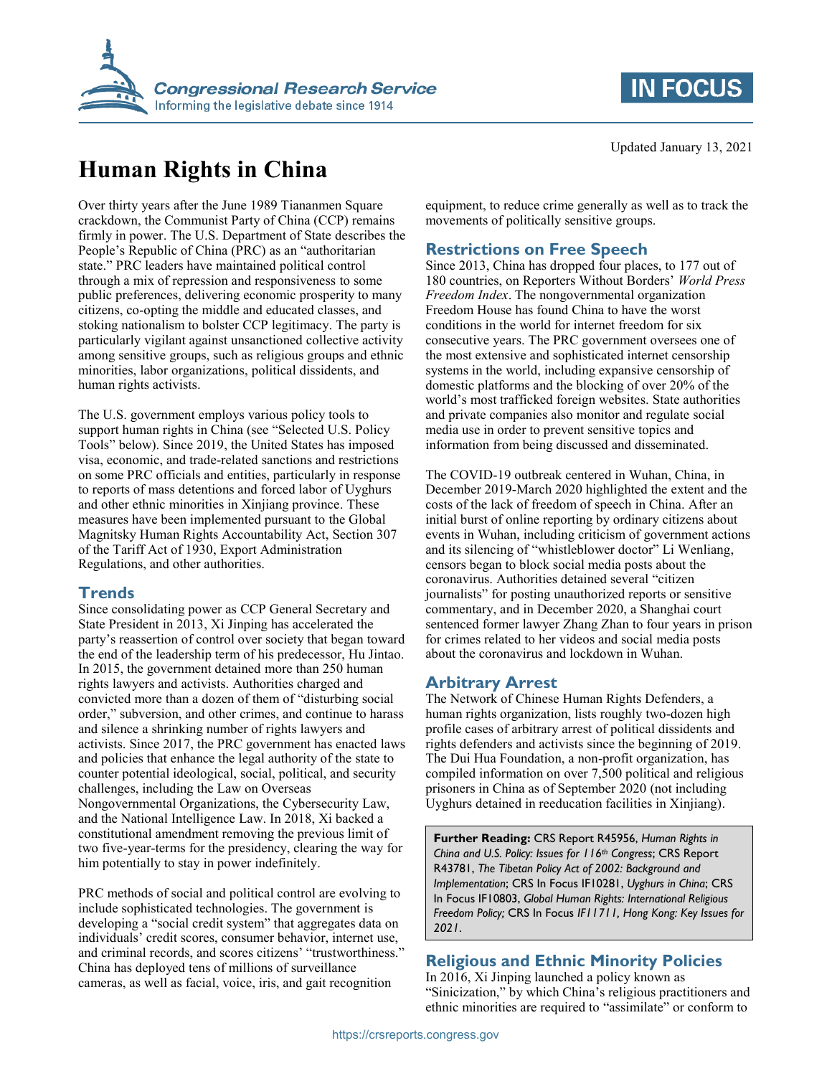



# **Human Rights in China**

Over thirty years after the June 1989 Tiananmen Square crackdown, the Communist Party of China (CCP) remains firmly in power. The U.S. Department of State describes the People's Republic of China (PRC) as an "authoritarian state." PRC leaders have maintained political control through a mix of repression and responsiveness to some public preferences, delivering economic prosperity to many citizens, co-opting the middle and educated classes, and stoking nationalism to bolster CCP legitimacy. The party is particularly vigilant against unsanctioned collective activity among sensitive groups, such as religious groups and ethnic minorities, labor organizations, political dissidents, and human rights activists.

The U.S. government employs various policy tools to support human rights in China (see "Selected U.S. Policy Tools" below). Since 2019, the United States has imposed visa, economic, and trade-related sanctions and restrictions on some PRC officials and entities, particularly in response to reports of mass detentions and forced labor of Uyghurs and other ethnic minorities in Xinjiang province. These measures have been implemented pursuant to the Global Magnitsky Human Rights Accountability Act, Section 307 of the Tariff Act of 1930, Export Administration Regulations, and other authorities.

#### **Trends**

Since consolidating power as CCP General Secretary and State President in 2013, Xi Jinping has accelerated the party's reassertion of control over society that began toward the end of the leadership term of his predecessor, Hu Jintao. In 2015, the government detained more than 250 human rights lawyers and activists. Authorities charged and convicted more than a dozen of them of "disturbing social order," subversion, and other crimes, and continue to harass and silence a shrinking number of rights lawyers and activists. Since 2017, the PRC government has enacted laws and policies that enhance the legal authority of the state to counter potential ideological, social, political, and security challenges, including the Law on Overseas Nongovernmental Organizations, the Cybersecurity Law, and the National Intelligence Law. In 2018, Xi backed a constitutional amendment removing the previous limit of two five-year-terms for the presidency, clearing the way for him potentially to stay in power indefinitely.

PRC methods of social and political control are evolving to include sophisticated technologies. The government is developing a "social credit system" that aggregates data on individuals' credit scores, consumer behavior, internet use, and criminal records, and scores citizens' "trustworthiness." China has deployed tens of millions of surveillance cameras, as well as facial, voice, iris, and gait recognition

equipment, to reduce crime generally as well as to track the movements of politically sensitive groups.

### **Restrictions on Free Speech**

Since 2013, China has dropped four places, to 177 out of 180 countries, on Reporters Without Borders' World Press *Freedom Index*. The nongovernmental organization Freedom House has found China to have the worst conditions in the world for internet freedom for six consecutive years. The PRC government oversees one of the most extensive and sophisticated internet censorship systems in the world, including expansive censorship of domestic platforms and the blocking of over 20% of the world's most trafficked foreign websites. State authorities and private companies also monitor and regulate social media use in order to prevent sensitive topics and information from being discussed and disseminated.

The COVID-19 outbreak centered in Wuhan, China, in December 2019-March 2020 highlighted the extent and the costs of the lack of freedom of speech in China. After an initial burst of online reporting by ordinary citizens about events in Wuhan, including criticism of government actions and its silencing of "whistleblower doctor" Li Wenliang, censors began to block social media posts about the coronavirus. Authorities detained several "citizen journalists" for posting unauthorized reports or sensitive commentary, and in December 2020, a Shanghai court sentenced former lawyer Zhang Zhan to four years in prison for crimes related to her videos and social media posts about the coronavirus and lockdown in Wuhan.

#### **Arbitrary Arrest**

The Network of Chinese Human Rights Defenders, a human rights organization, lists roughly two-dozen high profile cases of arbitrary arrest of political dissidents and rights defenders and activists since the beginning of 2019. The Dui Hua Foundation, a non-profit organization, has compiled information on over 7,500 political and religious prisoners in China as of September 2020 (not including Uyghurs detained in reeducation facilities in Xinjiang).

**Further Reading:** CRS Report R45956, *Human Rights in China and U.S. Policy: Issues for 116th Congress*; CRS Report R43781, *The Tibetan Policy Act of 2002: Background and Implementation*; CRS In Focus IF10281, *Uyghurs in China*; CRS In Focus IF10803, *Global Human Rights: International Religious Freedom Policy;* CRS In Focus *IF11711, Hong Kong: Key Issues for 2021*.

## **Religious and Ethnic Minority Policies**

In 2016, Xi Jinping launched a policy known as "Sinicization," by which China's religious practitioners and ethnic minorities are required to "assimilate" or conform to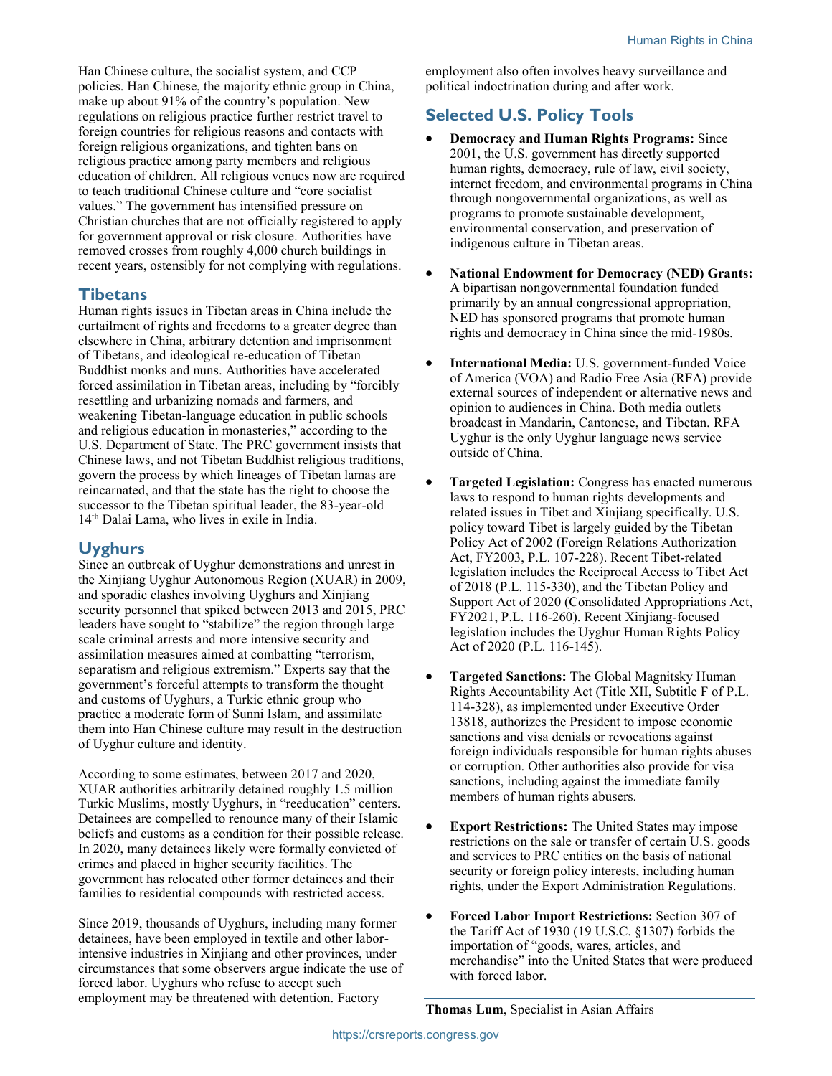Han Chinese culture, the socialist system, and CCP policies. Han Chinese, the majority ethnic group in China, make up about 91% of the country's population. New regulations on religious practice further restrict travel to foreign countries for religious reasons and contacts with foreign religious organizations, and tighten bans on religious practice among party members and religious education of children. All religious venues now are required to teach traditional Chinese culture and "core socialist values." The government has intensified pressure on Christian churches that are not officially registered to apply for government approval or risk closure. Authorities have removed crosses from roughly 4,000 church buildings in recent years, ostensibly for not complying with regulations.

#### **Tibetans**

Human rights issues in Tibetan areas in China include the curtailment of rights and freedoms to a greater degree than elsewhere in China, arbitrary detention and imprisonment of Tibetans, and ideological re-education of Tibetan Buddhist monks and nuns. Authorities have accelerated forced assimilation in Tibetan areas, including by "forcibly resettling and urbanizing nomads and farmers, and weakening Tibetan-language education in public schools and religious education in monasteries," according to the U.S. Department of State. The PRC government insists that Chinese laws, and not Tibetan Buddhist religious traditions, govern the process by which lineages of Tibetan lamas are reincarnated, and that the state has the right to choose the successor to the Tibetan spiritual leader, the 83-year-old 14th Dalai Lama, who lives in exile in India.

#### **Uyghurs**

Since an outbreak of Uyghur demonstrations and unrest in the Xinjiang Uyghur Autonomous Region (XUAR) in 2009, and sporadic clashes involving Uyghurs and Xinjiang security personnel that spiked between 2013 and 2015, PRC leaders have sought to "stabilize" the region through large scale criminal arrests and more intensive security and assimilation measures aimed at combatting "terrorism, separatism and religious extremism." Experts say that the government's forceful attempts to transform the thought and customs of Uyghurs, a Turkic ethnic group who practice a moderate form of Sunni Islam, and assimilate them into Han Chinese culture may result in the destruction of Uyghur culture and identity.

According to some estimates, between 2017 and 2020, XUAR authorities arbitrarily detained roughly 1.5 million Turkic Muslims, mostly Uyghurs, in "reeducation" centers. Detainees are compelled to renounce many of their Islamic beliefs and customs as a condition for their possible release. In 2020, many detainees likely were formally convicted of crimes and placed in higher security facilities. The government has relocated other former detainees and their families to residential compounds with restricted access.

Since 2019, thousands of Uyghurs, including many former detainees, have been employed in textile and other laborintensive industries in Xinjiang and other provinces, under circumstances that some observers argue indicate the use of forced labor. Uyghurs who refuse to accept such employment may be threatened with detention. Factory

employment also often involves heavy surveillance and political indoctrination during and after work.

# **Selected U.S. Policy Tools**

- x **Democracy and Human Rights Programs:** Since 2001, the U.S. government has directly supported human rights, democracy, rule of law, civil society, internet freedom, and environmental programs in China through nongovernmental organizations, as well as programs to promote sustainable development, environmental conservation, and preservation of indigenous culture in Tibetan areas.
- x **National Endowment for Democracy (NED) Grants:** A bipartisan nongovernmental foundation funded primarily by an annual congressional appropriation, NED has sponsored programs that promote human rights and democracy in China since the mid-1980s.
- **International Media:** U.S. government-funded Voice of America (VOA) and Radio Free Asia (RFA) provide external sources of independent or alternative news and opinion to audiences in China. Both media outlets broadcast in Mandarin, Cantonese, and Tibetan. RFA Uyghur is the only Uyghur language news service outside of China.
- **Targeted Legislation:** Congress has enacted numerous laws to respond to human rights developments and related issues in Tibet and Xinjiang specifically. U.S. policy toward Tibet is largely guided by the Tibetan Policy Act of 2002 (Foreign Relations Authorization Act, FY2003, P.L. 107-228). Recent Tibet-related legislation includes the Reciprocal Access to Tibet Act of 2018 (P.L. 115-330), and the Tibetan Policy and Support Act of 2020 (Consolidated Appropriations Act, FY2021, P.L. 116-260). Recent Xinjiang-focused legislation includes the Uyghur Human Rights Policy Act of 2020 (P.L. 116-145).
- **Targeted Sanctions:** The Global Magnitsky Human Rights Accountability Act (Title XII, Subtitle F of P.L. 114-328), as implemented under Executive Order 13818, authorizes the President to impose economic sanctions and visa denials or revocations against foreign individuals responsible for human rights abuses or corruption. Other authorities also provide for visa sanctions, including against the immediate family members of human rights abusers.
- **Export Restrictions:** The United States may impose restrictions on the sale or transfer of certain U.S. goods and services to PRC entities on the basis of national security or foreign policy interests, including human rights, under the Export Administration Regulations.
- x **Forced Labor Import Restrictions:** Section 307 of the Tariff Act of 1930 (19 U.S.C. §1307) forbids the importation of "goods, wares, articles, and merchandise" into the United States that were produced with forced labor.

**Thomas Lum**, Specialist in Asian Affairs